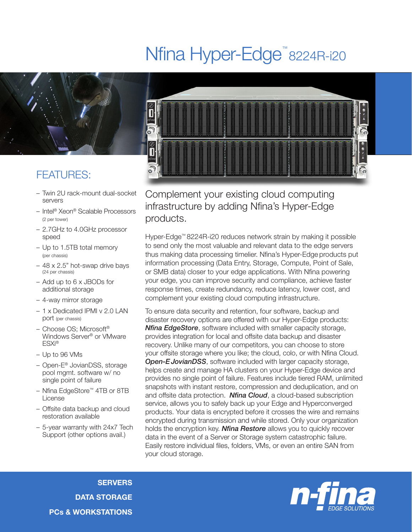## Nfina Hyper-Edge<sup>™</sup>8224R-i20



## FEATURES:

- Twin 2U rack-mount dual-socket servers
- Intel® Xeon® Scalable Processors (2 per tower)
- 2.7GHz to 4.0GHz processor speed
- Up to 1.5TB total memory (per chassis)
- 48 x 2.5" hot-swap drive bays (24 per chassis)
- Add up to 6 x JBODs for additional storage
- 4-way mirror storage
- 1 x Dedicated IPMI v 2.0 LAN port (per chassis)
- Choose OS; Microsoft® Windows Server® or VMware ESXi®
- Up to 96 VMs
- Open-E® JovianDSS, storage pool mgmt. software w/ no single point of failure
- Nfina EdgeStore™ 4TB or 8TB License
- Offsite data backup and cloud restoration available
- 5-year warranty with 24x7 Tech Support (other options avail.)



Complement your existing cloud computing infrastructure by adding Nfina's Hyper-Edge products.

Hyper-Edge™ 8224R-i20 reduces network strain by making it possible to send only the most valuable and relevant data to the edge servers thus making data processing timelier. Nfina's Hyper-Edge products put information processing (Data Entry, Storage, Compute, Point of Sale, or SMB data) closer to your edge applications. With Nfina powering your edge, you can improve security and compliance, achieve faster response times, create redundancy, reduce latency, lower cost, and complement your existing cloud computing infrastructure.

To ensure data security and retention, four software, backup and disaster recovery options are offered with our Hyper-Edge products: *Nfina EdgeStore*, software included with smaller capacity storage, provides integration for local and offsite data backup and disaster recovery. Unlike many of our competitors, you can choose to store your offsite storage where you like; the cloud, colo, or with Nfina Cloud. **Open-E JovianDSS**, software included with larger capacity storage, helps create and manage HA clusters on your Hyper-Edge device and provides no single point of failure. Features include tiered RAM, unlimited snapshots with instant restore, compression and deduplication, and on and offsite data protection. *Nfina Cloud*, a cloud-based subscription service, allows you to safely back up your Edge and Hyperconverged products. Your data is encrypted before it crosses the wire and remains encrypted during transmission and while stored. Only your organization holds the encryption key. *Nfina Restore* allows you to quickly recover data in the event of a Server or Storage system catastrophic failure. Easily restore individual files, folders, VMs, or even an entire SAN from your cloud storage.

**SERVERS** DATA STORAGE PCs & WORKSTATIONS

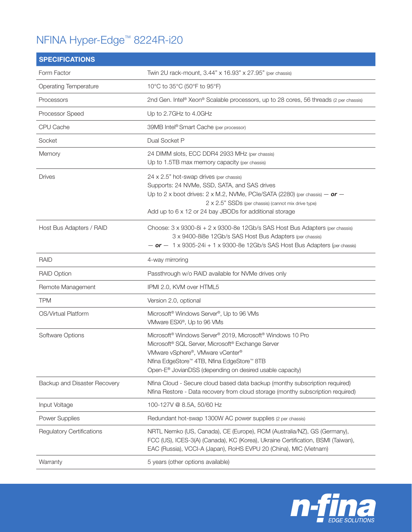## NFINA Hyper-Edge™ 8224R-i20

| <b>SPECIFICATIONS</b>            |                                                                                                                                                                                                                                                                                                                                       |
|----------------------------------|---------------------------------------------------------------------------------------------------------------------------------------------------------------------------------------------------------------------------------------------------------------------------------------------------------------------------------------|
| Form Factor                      | Twin 2U rack-mount, 3.44" x 16.93" x 27.95" (per chassis)                                                                                                                                                                                                                                                                             |
| <b>Operating Temperature</b>     | 10°C to 35°C (50°F to 95°F)                                                                                                                                                                                                                                                                                                           |
| Processors                       | 2nd Gen. Intel <sup>®</sup> Xeon® Scalable processors, up to 28 cores, 56 threads (2 per chassis)                                                                                                                                                                                                                                     |
| Processor Speed                  | Up to 2.7GHz to 4.0GHz                                                                                                                                                                                                                                                                                                                |
| CPU Cache                        | 39MB Intel® Smart Cache (per processor)                                                                                                                                                                                                                                                                                               |
| Socket                           | Dual Socket P                                                                                                                                                                                                                                                                                                                         |
| Memory                           | 24 DIMM slots, ECC DDR4 2933 MHz (per chassis)<br>Up to 1.5TB max memory capacity (per chassis)                                                                                                                                                                                                                                       |
| <b>Drives</b>                    | 24 x 2.5" hot-swap drives (per chassis)<br>Supports: 24 NVMe, SSD, SATA, and SAS drives<br>Up to 2 x boot drives: 2 x M.2, NVMe, PCle/SATA (2280) (per chassis) $-$ or $-$<br>2 x 2.5" SSDs (per chassis) (cannot mix drive type)<br>Add up to 6 x 12 or 24 bay JBODs for additional storage                                          |
| Host Bus Adapters / RAID         | Choose: $3 \times 9300 - 8i + 2 \times 9300 - 8e$ 12Gb/s SAS Host Bus Adapters (per chassis)<br>3 x 9400-8i8e 12Gb/s SAS Host Bus Adapters (per chassis)<br>$-$ or $-$ 1 x 9305-24i + 1 x 9300-8e 12Gb/s SAS Host Bus Adapters (per chassis)                                                                                          |
| RAID                             | 4-way mirroring                                                                                                                                                                                                                                                                                                                       |
| <b>RAID Option</b>               | Passthrough w/o RAID available for NVMe drives only                                                                                                                                                                                                                                                                                   |
| Remote Management                | IPMI 2.0, KVM over HTML5                                                                                                                                                                                                                                                                                                              |
| <b>TPM</b>                       | Version 2.0, optional                                                                                                                                                                                                                                                                                                                 |
| OS/Virtual Platform              | Microsoft <sup>®</sup> Windows Server <sup>®</sup> , Up to 96 VMs<br>VMware ESXi®, Up to 96 VMs                                                                                                                                                                                                                                       |
| Software Options                 | Microsoft <sup>®</sup> Windows Server <sup>®</sup> 2019, Microsoft <sup>®</sup> Windows 10 Pro<br>Microsoft <sup>®</sup> SQL Server, Microsoft <sup>®</sup> Exchange Server<br>VMware vSphere®, VMware vCenter®<br>Nfina EdgeStore™ 4TB, Nfina EdgeStore™ 8TB<br>Open-E <sup>®</sup> JovianDSS (depending on desired usable capacity) |
| Backup and Disaster Recovery     | Nfina Cloud - Secure cloud based data backup (monthy subscription required)<br>Nfina Restore - Data recovery from cloud storage (monthy subscription required)                                                                                                                                                                        |
| Input Voltage                    | 100-127V @ 8.5A, 50/60 Hz                                                                                                                                                                                                                                                                                                             |
| <b>Power Supplies</b>            | Redundant hot-swap 1300W AC power supplies (2 per chassis)                                                                                                                                                                                                                                                                            |
| <b>Regulatory Certifications</b> | NRTL Nemko (US, Canada), CE (Europe), RCM (Australia/NZ), GS (Germany),<br>FCC (US), ICES-3(A) (Canada), KC (Korea), Ukraine Certification, BSMI (Taiwan),<br>EAC (Russia), VCCI-A (Japan), RoHS EVPU 20 (China), MIC (Vietnam)                                                                                                       |
| Warranty                         | 5 years (other options available)                                                                                                                                                                                                                                                                                                     |